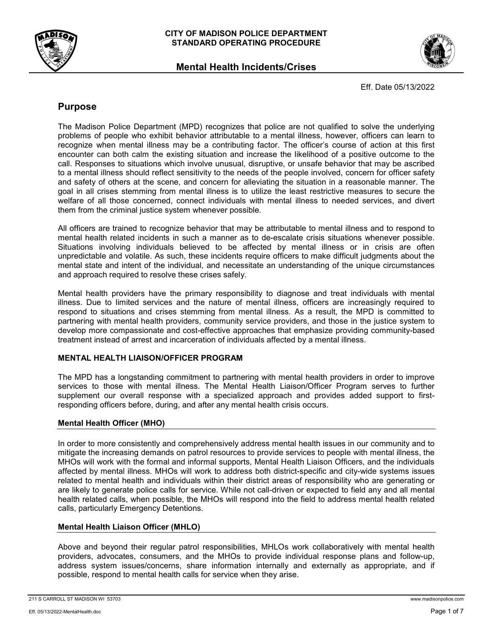

**Mental Health Incidents/Crises**



Eff. Date 05/13/2022

# **Purpose**

The Madison Police Department (MPD) recognizes that police are not qualified to solve the underlying problems of people who exhibit behavior attributable to a mental illness, however, officers can learn to recognize when mental illness may be a contributing factor. The officer's course of action at this first encounter can both calm the existing situation and increase the likelihood of a positive outcome to the call. Responses to situations which involve unusual, disruptive, or unsafe behavior that may be ascribed to a mental illness should reflect sensitivity to the needs of the people involved, concern for officer safety and safety of others at the scene, and concern for alleviating the situation in a reasonable manner. The goal in all crises stemming from mental illness is to utilize the least restrictive measures to secure the welfare of all those concerned, connect individuals with mental illness to needed services, and divert them from the criminal justice system whenever possible.

All officers are trained to recognize behavior that may be attributable to mental illness and to respond to mental health related incidents in such a manner as to de-escalate crisis situations whenever possible. Situations involving individuals believed to be affected by mental illness or in crisis are often unpredictable and volatile. As such, these incidents require officers to make difficult judgments about the mental state and intent of the individual, and necessitate an understanding of the unique circumstances and approach required to resolve these crises safely.

Mental health providers have the primary responsibility to diagnose and treat individuals with mental illness. Due to limited services and the nature of mental illness, officers are increasingly required to respond to situations and crises stemming from mental illness. As a result, the MPD is committed to partnering with mental health providers, community service providers, and those in the justice system to develop more compassionate and cost-effective approaches that emphasize providing community-based treatment instead of arrest and incarceration of individuals affected by a mental illness.

# **MENTAL HEALTH LIAISON/OFFICER PROGRAM**

The MPD has a longstanding commitment to partnering with mental health providers in order to improve services to those with mental illness. The Mental Health Liaison/Officer Program serves to further supplement our overall response with a specialized approach and provides added support to firstresponding officers before, during, and after any mental health crisis occurs.

# **Mental Health Officer (MHO)**

In order to more consistently and comprehensively address mental health issues in our community and to mitigate the increasing demands on patrol resources to provide services to people with mental illness, the MHOs will work with the formal and informal supports, Mental Health Liaison Officers, and the individuals affected by mental illness. MHOs will work to address both district-specific and city-wide systems issues related to mental health and individuals within their district areas of responsibility who are generating or are likely to generate police calls for service. While not call-driven or expected to field any and all mental health related calls, when possible, the MHOs will respond into the field to address mental health related calls, particularly Emergency Detentions.

# **Mental Health Liaison Officer (MHLO)**

Above and beyond their regular patrol responsibilities, MHLOs work collaboratively with mental health providers, advocates, consumers, and the MHOs to provide individual response plans and follow-up, address system issues/concerns, share information internally and externally as appropriate, and if possible, respond to mental health calls for service when they arise.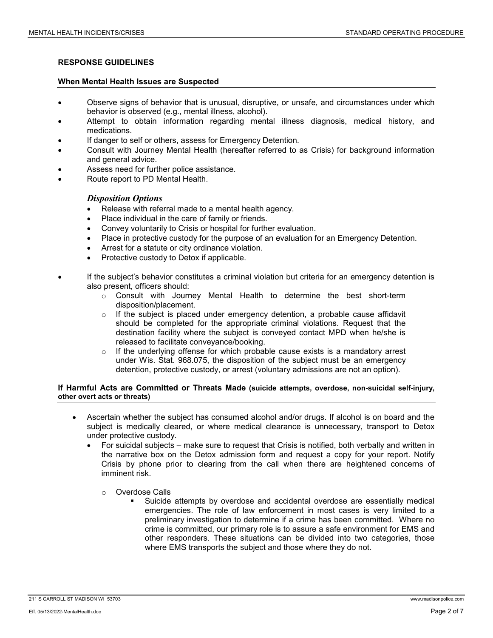### **RESPONSE GUIDELINES**

### **When Mental Health Issues are Suspected**

- Observe signs of behavior that is unusual, disruptive, or unsafe, and circumstances under which behavior is observed (e.g., mental illness, alcohol).
- Attempt to obtain information regarding mental illness diagnosis, medical history, and medications.
- If danger to self or others, assess for Emergency Detention.
- Consult with Journey Mental Health (hereafter referred to as Crisis) for background information and general advice.
- Assess need for further police assistance.
- Route report to PD Mental Health.

### *Disposition Options*

- Release with referral made to a mental health agency.
- Place individual in the care of family or friends.
- Convey voluntarily to Crisis or hospital for further evaluation.
- Place in protective custody for the purpose of an evaluation for an Emergency Detention.
- Arrest for a statute or city ordinance violation.
- Protective custody to Detox if applicable.
- If the subject's behavior constitutes a criminal violation but criteria for an emergency detention is also present, officers should:
	- $\circ$  Consult with Journey Mental Health to determine the best short-term disposition/placement.
	- $\circ$  If the subject is placed under emergency detention, a probable cause affidavit should be completed for the appropriate criminal violations. Request that the destination facility where the subject is conveyed contact MPD when he/she is released to facilitate conveyance/booking.
	- $\circ$  If the underlying offense for which probable cause exists is a mandatory arrest under Wis. Stat. 968.075, the disposition of the subject must be an emergency detention, protective custody, or arrest (voluntary admissions are not an option).

### **If Harmful Acts are Committed or Threats Made (suicide attempts, overdose, non-suicidal self-injury, other overt acts or threats)**

- Ascertain whether the subject has consumed alcohol and/or drugs. If alcohol is on board and the subject is medically cleared, or where medical clearance is unnecessary, transport to Detox under protective custody.
	- For suicidal subjects make sure to request that Crisis is notified, both verbally and written in the narrative box on the Detox admission form and request a copy for your report. Notify Crisis by phone prior to clearing from the call when there are heightened concerns of imminent risk.
		- o Overdose Calls
			- Suicide attempts by overdose and accidental overdose are essentially medical emergencies. The role of law enforcement in most cases is very limited to a preliminary investigation to determine if a crime has been committed. Where no crime is committed, our primary role is to assure a safe environment for EMS and other responders. These situations can be divided into two categories, those where EMS transports the subject and those where they do not.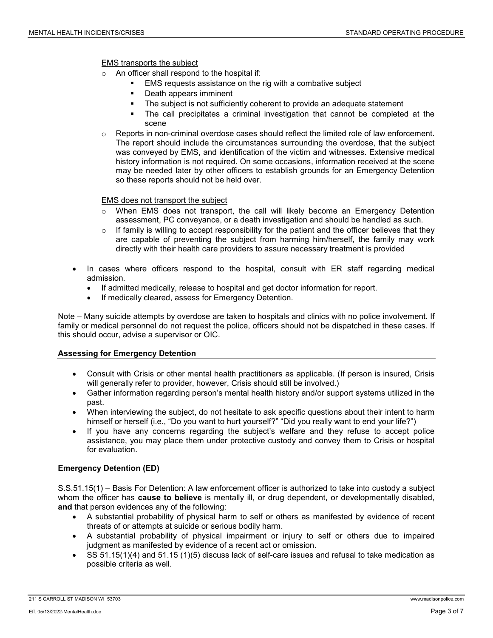EMS transports the subject

- An officer shall respond to the hospital if:
	- EMS requests assistance on the rig with a combative subject
	- Death appears imminent
	- The subject is not sufficiently coherent to provide an adequate statement
	- The call precipitates a criminal investigation that cannot be completed at the scene
- $\circ$  Reports in non-criminal overdose cases should reflect the limited role of law enforcement. The report should include the circumstances surrounding the overdose, that the subject was conveyed by EMS, and identification of the victim and witnesses. Extensive medical history information is not required. On some occasions, information received at the scene may be needed later by other officers to establish grounds for an Emergency Detention so these reports should not be held over.

### EMS does not transport the subject

- o When EMS does not transport, the call will likely become an Emergency Detention assessment, PC conveyance, or a death investigation and should be handled as such.
- $\circ$  If family is willing to accept responsibility for the patient and the officer believes that they are capable of preventing the subject from harming him/herself, the family may work directly with their health care providers to assure necessary treatment is provided
- In cases where officers respond to the hospital, consult with ER staff regarding medical admission.
	- If admitted medically, release to hospital and get doctor information for report.
	- If medically cleared, assess for Emergency Detention.

Note – Many suicide attempts by overdose are taken to hospitals and clinics with no police involvement. If family or medical personnel do not request the police, officers should not be dispatched in these cases. If this should occur, advise a supervisor or OIC.

### **Assessing for Emergency Detention**

- Consult with Crisis or other mental health practitioners as applicable. (If person is insured, Crisis will generally refer to provider, however, Crisis should still be involved.)
- Gather information regarding person's mental health history and/or support systems utilized in the past.
- When interviewing the subject, do not hesitate to ask specific questions about their intent to harm himself or herself (i.e., "Do you want to hurt yourself?" "Did you really want to end your life?")
- If you have any concerns regarding the subject's welfare and they refuse to accept police assistance, you may place them under protective custody and convey them to Crisis or hospital for evaluation.

### **Emergency Detention (ED)**

S.S.51.15(1) – Basis For Detention: A law enforcement officer is authorized to take into custody a subject whom the officer has **cause to believe** is mentally ill, or drug dependent, or developmentally disabled, **and** that person evidences any of the following:

- A substantial probability of physical harm to self or others as manifested by evidence of recent threats of or attempts at suicide or serious bodily harm.
- A substantial probability of physical impairment or injury to self or others due to impaired judgment as manifested by evidence of a recent act or omission.
- SS 51.15(1)(4) and 51.15 (1)(5) discuss lack of self-care issues and refusal to take medication as possible criteria as well.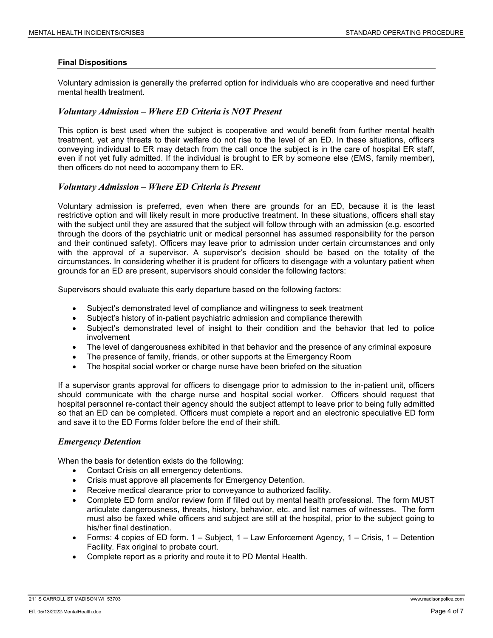### **Final Dispositions**

Voluntary admission is generally the preferred option for individuals who are cooperative and need further mental health treatment.

### *Voluntary Admission – Where ED Criteria is NOT Present*

This option is best used when the subject is cooperative and would benefit from further mental health treatment, yet any threats to their welfare do not rise to the level of an ED. In these situations, officers conveying individual to ER may detach from the call once the subject is in the care of hospital ER staff, even if not yet fully admitted. If the individual is brought to ER by someone else (EMS, family member), then officers do not need to accompany them to ER.

### *Voluntary Admission – Where ED Criteria is Present*

Voluntary admission is preferred, even when there are grounds for an ED, because it is the least restrictive option and will likely result in more productive treatment. In these situations, officers shall stay with the subject until they are assured that the subject will follow through with an admission (e.g. escorted through the doors of the psychiatric unit or medical personnel has assumed responsibility for the person and their continued safety). Officers may leave prior to admission under certain circumstances and only with the approval of a supervisor. A supervisor's decision should be based on the totality of the circumstances. In considering whether it is prudent for officers to disengage with a voluntary patient when grounds for an ED are present, supervisors should consider the following factors:

Supervisors should evaluate this early departure based on the following factors:

- Subject's demonstrated level of compliance and willingness to seek treatment
- Subject's history of in-patient psychiatric admission and compliance therewith
- Subject's demonstrated level of insight to their condition and the behavior that led to police involvement
- The level of dangerousness exhibited in that behavior and the presence of any criminal exposure
- The presence of family, friends, or other supports at the Emergency Room
- The hospital social worker or charge nurse have been briefed on the situation

If a supervisor grants approval for officers to disengage prior to admission to the in-patient unit, officers should communicate with the charge nurse and hospital social worker. Officers should request that hospital personnel re-contact their agency should the subject attempt to leave prior to being fully admitted so that an ED can be completed. Officers must complete a report and an electronic speculative ED form and save it to the ED Forms folder before the end of their shift.

#### *Emergency Detention*

When the basis for detention exists do the following:

- Contact Crisis on **all** emergency detentions.
- Crisis must approve all placements for Emergency Detention.
- Receive medical clearance prior to conveyance to authorized facility.
- Complete ED form and/or review form if filled out by mental health professional. The form MUST articulate dangerousness, threats, history, behavior, etc. and list names of witnesses. The form must also be faxed while officers and subject are still at the hospital, prior to the subject going to his/her final destination.
- Forms: 4 copies of ED form. 1 Subject, 1 Law Enforcement Agency, 1 Crisis, 1 Detention Facility. Fax original to probate court.
- Complete report as a priority and route it to PD Mental Health.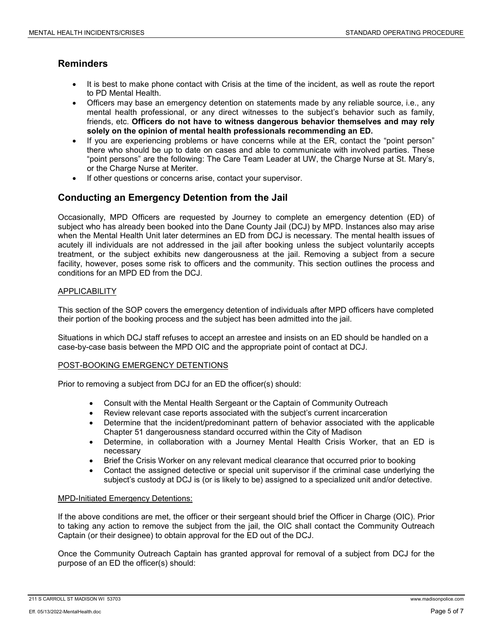# **Reminders**

- It is best to make phone contact with Crisis at the time of the incident, as well as route the report to PD Mental Health.
- Officers may base an emergency detention on statements made by any reliable source, i.e., any mental health professional, or any direct witnesses to the subject's behavior such as family, friends, etc. **Officers do not have to witness dangerous behavior themselves and may rely solely on the opinion of mental health professionals recommending an ED.**
- If you are experiencing problems or have concerns while at the ER, contact the "point person" there who should be up to date on cases and able to communicate with involved parties. These "point persons" are the following: The Care Team Leader at UW, the Charge Nurse at St. Mary's, or the Charge Nurse at Meriter.
- If other questions or concerns arise, contact your supervisor.

# **Conducting an Emergency Detention from the Jail**

Occasionally, MPD Officers are requested by Journey to complete an emergency detention (ED) of subject who has already been booked into the Dane County Jail (DCJ) by MPD. Instances also may arise when the Mental Health Unit later determines an ED from DCJ is necessary. The mental health issues of acutely ill individuals are not addressed in the jail after booking unless the subject voluntarily accepts treatment, or the subject exhibits new dangerousness at the jail. Removing a subject from a secure facility, however, poses some risk to officers and the community. This section outlines the process and conditions for an MPD ED from the DCJ.

## **APPLICABILITY**

This section of the SOP covers the emergency detention of individuals after MPD officers have completed their portion of the booking process and the subject has been admitted into the jail.

Situations in which DCJ staff refuses to accept an arrestee and insists on an ED should be handled on a case-by-case basis between the MPD OIC and the appropriate point of contact at DCJ.

### POST-BOOKING EMERGENCY DETENTIONS

Prior to removing a subject from DCJ for an ED the officer(s) should:

- Consult with the Mental Health Sergeant or the Captain of Community Outreach
- Review relevant case reports associated with the subject's current incarceration
- Determine that the incident/predominant pattern of behavior associated with the applicable Chapter 51 dangerousness standard occurred within the City of Madison
- Determine, in collaboration with a Journey Mental Health Crisis Worker, that an ED is necessary
- Brief the Crisis Worker on any relevant medical clearance that occurred prior to booking
- Contact the assigned detective or special unit supervisor if the criminal case underlying the subject's custody at DCJ is (or is likely to be) assigned to a specialized unit and/or detective.

### MPD-Initiated Emergency Detentions:

If the above conditions are met, the officer or their sergeant should brief the Officer in Charge (OIC). Prior to taking any action to remove the subject from the jail, the OIC shall contact the Community Outreach Captain (or their designee) to obtain approval for the ED out of the DCJ.

Once the Community Outreach Captain has granted approval for removal of a subject from DCJ for the purpose of an ED the officer(s) should:

<sup>211</sup> S CARROLL ST MADISON WI 53703 www.madisonpolice.com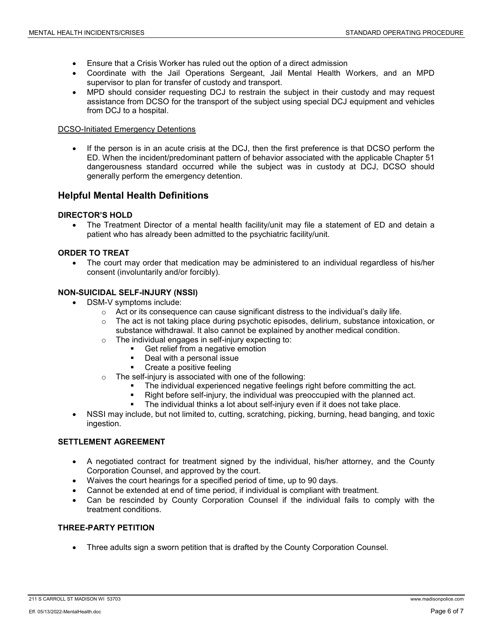- Ensure that a Crisis Worker has ruled out the option of a direct admission
- Coordinate with the Jail Operations Sergeant, Jail Mental Health Workers, and an MPD supervisor to plan for transfer of custody and transport.
- MPD should consider requesting DCJ to restrain the subject in their custody and may request assistance from DCSO for the transport of the subject using special DCJ equipment and vehicles from DCJ to a hospital.

### DCSO-Initiated Emergency Detentions

If the person is in an acute crisis at the DCJ, then the first preference is that DCSO perform the ED. When the incident/predominant pattern of behavior associated with the applicable Chapter 51 dangerousness standard occurred while the subject was in custody at DCJ, DCSO should generally perform the emergency detention.

# **Helpful Mental Health Definitions**

## **DIRECTOR'S HOLD**

• The Treatment Director of a mental health facility/unit may file a statement of ED and detain a patient who has already been admitted to the psychiatric facility/unit.

## **ORDER TO TREAT**

• The court may order that medication may be administered to an individual regardless of his/her consent (involuntarily and/or forcibly).

# **NON-SUICIDAL SELF-INJURY (NSSI)**

- DSM-V symptoms include:
	- $\circ$  Act or its consequence can cause significant distress to the individual's daily life.
	- $\circ$  The act is not taking place during psychotic episodes, delirium, substance intoxication, or substance withdrawal. It also cannot be explained by another medical condition.
	- o The individual engages in self-injury expecting to:
		- Get relief from a negative emotion
		- Deal with a personal issue
		- Create a positive feeling
	- o The self-injury is associated with one of the following:
		- The individual experienced negative feelings right before committing the act.
		- Right before self-injury, the individual was preoccupied with the planned act.
			- The individual thinks a lot about self-injury even if it does not take place.
- NSSI may include, but not limited to, cutting, scratching, picking, burning, head banging, and toxic ingestion.

### **SETTLEMENT AGREEMENT**

- A negotiated contract for treatment signed by the individual, his/her attorney, and the County Corporation Counsel, and approved by the court.
- Waives the court hearings for a specified period of time, up to 90 days.
- Cannot be extended at end of time period, if individual is compliant with treatment.
- Can be rescinded by County Corporation Counsel if the individual fails to comply with the treatment conditions.

## **THREE-PARTY PETITION**

• Three adults sign a sworn petition that is drafted by the County Corporation Counsel.